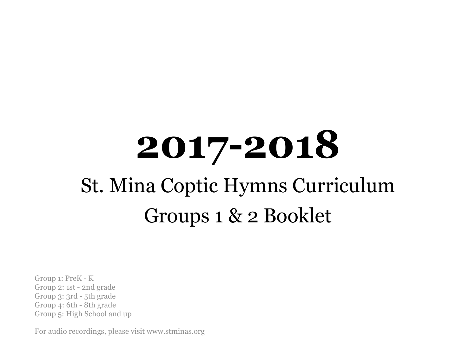# **2017-2018** St. Mina Coptic Hymns Curriculum Groups 1 & 2 Booklet

Group 1: PreK - K Group 2: 1st - 2nd grade Group 3: 3rd - 5th grade Group 4: 6th - 8th grade Group 5: High School and up

For audio recordings, please visit www.stminas.org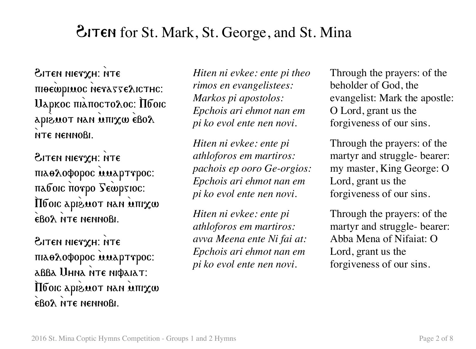### **EITEN** for St. Mark, St. George, and St. Mina

BITEN NIETXH: NTE πιθεώριωος NevasseλιcTHC: Uаркос піапостохос: Пбоіс apièmot nan mux eBoλ NTE NENNOBI.

BITEN NIETXH: NTE πιλολοφορος απλρττρος: παδοις ποτρο Sewpsioc:  $\mathbf{a}$  and  $\mathbf{a}$  are  $\mathbf{a}$  and  $\mathbf{a}$  and  $\mathbf{a}$ EBOA NTE NENNOBI.

Hiten nierxh: NTE πιλθλοφορος απλρττρος: abba Uhna nte niфaiat: **MEDIG EXPLORED IN 1999 IN 1999 IN 1999 IN 1999 IN 1999 IN 1999 IN 1999 IN 1999 IN 1999 IN 1999 IN 1999 IN 1999 IN 1999 IN 1999 IN 1999 IN 1999 IN 1999 IN 1999 IN 1999 IN 1999 IN 1999 IN 1999 IN 1999 IN 1999 IN 1999 IN 199** EBO<sub>2</sub> NTE NENNOBI.

*Hiten ni evkee: ente pi theo rimos en evangelistees: Markos pi apostolos: Epchois ari ehmot nan em pi ko evol ente nen novi.*

*Hiten ni evkee: ente pi athloforos em martiros: pachois ep ooro Ge-orgios: Epchois ari ehmot nan em pi ko evol ente nen novi.*

*Hiten ni evkee: ente pi athloforos em martiros: avva Meena ente Ni fai at: Epchois ari ehmot nan em pi ko evol ente nen novi.*

Through the prayers: of the beholder of God, the evangelist: Mark the apostle: O Lord, grant us the forgiveness of our sins.

Through the prayers: of the martyr and struggle- bearer: my master, King George: O Lord, grant us the forgiveness of our sins.

Through the prayers: of the martyr and struggle- bearer: Abba Mena of Nifaiat: O Lord, grant us the forgiveness of our sins.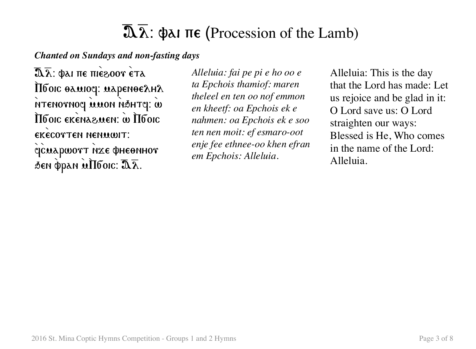# $\overline{\mathfrak{A}}\overline{\lambda}$ :  $\Phi$ ai  $\pi\epsilon$  (Procession of the Lamb)

*Chanted on Sundays and non-fasting days*

 $\overline{\mathbf{a}}\overline{\mathbf{a}}$ : фаі пе піе $\mathbf{e}$ 00т ета  $\limsup$  and  $\limsup$ 8 NTENOTNOY WAON ASHTY: W  $\overline{\Pi}$ боіс екеназмен: w  $\overline{\Pi}$ боіс EKECOTTEN NENMWIT: ejcuapwort NIEE PHEONHOT  $\phi$ gen  $\phi$ pan  $\hat{\mu}$ Ilбoic:  $\overline{\mathfrak{A}}\overline{\lambda}$ .

*Alleluia: fai pe pi e ho oo e ta Epchois thamiof: maren theleel en ten oo nof emmon en kheetf: oa Epchois ek e nahmen: oa Epchois ek e soo ten nen moit: ef esmaro-oot enje fee ethnee-oo khen efran em Epchois: Alleluia.*

Alleluia: This is the day that the Lord has made: Let us rejoice and be glad in it: O Lord save us: O Lord straighten our ways: Blessed is He, Who comes in the name of the Lord: Alleluia.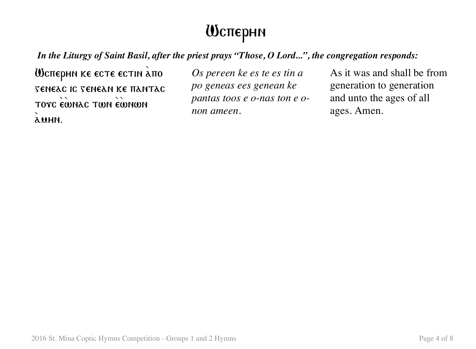### Wsperhn

*In the Liturgy of Saint Basil, after the priest prays "Those, O Lord...", the congregation responds:*

**Шеперни ке есте естін апо** geneas is genean ke pantas TOTC EWNAC TWN EWNWN  $\lambda$ UHN.

*Os pereen ke es te es tin a po geneas ees genean ke pantas toos e o-nas ton e onon ameen.*

As it was and shall be from generation to generation and unto the ages of all ages. Amen.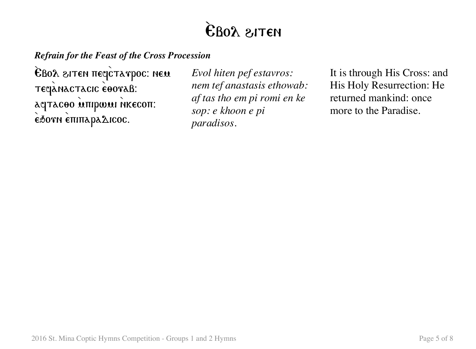# EBOY SILEN

#### *Refrain for the Feast of the Cross Procession*

EBOA SITEN TTEQCTATPOC: NEM teqanactacic eooraß: aqtacoo unipwui Nkecon: **έδονη επιπαραλιcoc.** 

*Evol hiten pef estavros: nem tef anastasis ethowab: af tas tho em pi romi en ke sop: e khoon e pi paradisos.*

It is through His Cross: and His Holy Resurrection: He returned mankind: once more to the Paradise.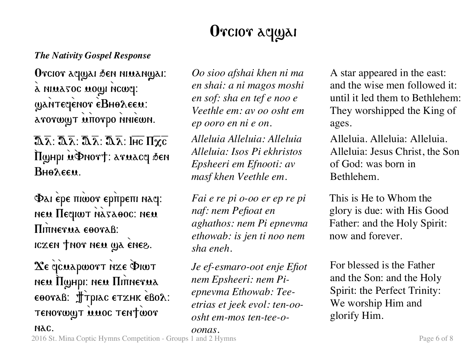# Orcior aqual

#### *The Nativity Gospel Response*

Orcior aqyai sen niuanyai: a ning2oc nowl ycmd: gantegenor eBHoλeem: a το τωματά επίστρο η niewn.

 $\overline{\mathfrak{A}}\overline{\lambda}$ :  $\overline{\mathfrak{A}}\overline{\lambda}$ :  $\overline{\mathfrak{A}}\overline{\lambda}$ :  $\overline{\mathfrak{A}}\overline{\lambda}$ : Ihc  $\Pi \overline{\chi} \overline{\mathfrak{c}}$ HoyHpi ucDnort: aruacq sen  $B<sub>HA</sub>$  $E<sub>EH</sub>$ 

Φαι έρε πιώσε ερπρεπι naq: new **Песнит** назавос: нем **Π**ιπηεγμλ εθογλβ: iczen tnor neu wa enes.

Xe qcuapwort nxe PIWT neu Muhpi: neu Minnerua  $\epsilon$ θονλβ:  $\oint$ τριλς ετχμκ εβολ: TENOTWYT MUOC TENTWOT

*Oo sioo afshai khen ni ma en shai: a ni magos moshi en sof: sha en tef e noo e Veethle em: av oo osht em ep ooro en ni e on.*

*Alleluia Alleluia: Alleluia Alleluia: Isos Pi ekhristos Epsheeri em Efnooti: av masf khen Veethle em.*

*Fai e re pi o-oo er ep re pi naf: nem Pefioat en aghathos: nem Pi epnevma ethowab: is jen ti noo nem sha eneh.*

*Je ef-esmaro-oot enje Efiot nem Epsheeri: nem Piepnevma Ethowab: Teeetrias et jeek evol: ten-ooosht em-mos ten-tee-o-*

*oonas.*

A star appeared in the east: and the wise men followed it: until it led them to Bethlehem: They worshipped the King of ages.

Alleluia. Alleluia: Alleluia. Alleluia: Jesus Christ, the Son of God: was born in Bethlehem.

This is He to Whom the glory is due: with His Good Father: and the Holy Spirit: now and forever.

For blessed is the Father and the Son: and the Holy Spirit: the Perfect Trinity: We worship Him and glorify Him.

NAC.

2016 St. Mina Coptic Hymns Competition - Groups 1 and 2 Hymns Page 6 of 8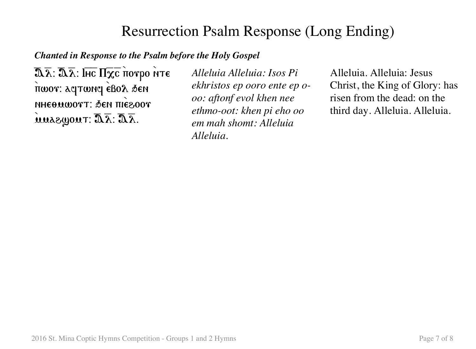### Resurrection Psalm Response (Long Ending)

#### *Chanted in Response to the Psalm before the Holy Gospel*

 $\overline{\mathfrak{A} \overline{\lambda}}$ :  $\overline{\mathfrak{A} \overline{\lambda}}$ : Ιнс Πχc πorpo NTE πωον: aqτωnq εβολ δεη **NHEΘΜWOTT: ΔΕΝ ΠΙΕΘΟΟΥ**  $\widetilde{\mathbf{u}}$ uua $\partial_\mathbf{w}$ out:  $\mathbf{\overline{a}}\overline{\mathbf{\lambda}}$ :  $\mathbf{\overline{a}}\overline{\mathbf{\lambda}}$ .

*Alleluia Alleluia: Isos Pi ekhristos ep ooro ente ep ooo: aftonf evol khen nee ethmo-oot: khen pi eho oo em mah shomt: Alleluia Alleluia.*

Alleluia. Alleluia: Jesus Christ, the King of Glory: has risen from the dead: on the third day. Alleluia. Alleluia.